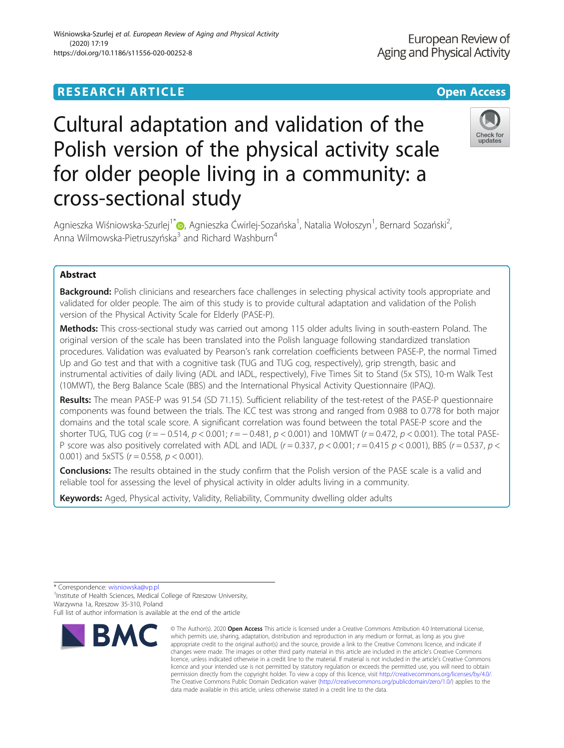# Cultural adaptation and validation of the Polish version of the physical activity scale for older people living in a community: a cross-sectional study



Agnieszka Wiśniowska-Szurlej<sup>1\*</sup>®[,](http://orcid.org/0000-0001-6651-0861) Agnieszka Ćwirlej-Sozańska<sup>1</sup>, Natalia Wołoszyn<sup>1</sup>, Bernard Sozański<sup>2</sup> .<br>, Anna Wilmowska-Pietruszyńska<sup>3</sup> and Richard Washburn<sup>4</sup>

# Abstract

**Background:** Polish clinicians and researchers face challenges in selecting physical activity tools appropriate and validated for older people. The aim of this study is to provide cultural adaptation and validation of the Polish version of the Physical Activity Scale for Elderly (PASE-P).

Methods: This cross-sectional study was carried out among 115 older adults living in south-eastern Poland. The original version of the scale has been translated into the Polish language following standardized translation procedures. Validation was evaluated by Pearson's rank correlation coefficients between PASE-P, the normal Timed Up and Go test and that with a cognitive task (TUG and TUG cog, respectively), grip strength, basic and instrumental activities of daily living (ADL and IADL, respectively), Five Times Sit to Stand (5x STS), 10-m Walk Test (10MWT), the Berg Balance Scale (BBS) and the International Physical Activity Questionnaire (IPAQ).

Results: The mean PASE-P was 91.54 (SD 71.15). Sufficient reliability of the test-retest of the PASE-P questionnaire components was found between the trials. The ICC test was strong and ranged from 0.988 to 0.778 for both major domains and the total scale score. A significant correlation was found between the total PASE-P score and the shorter TUG, TUG cog ( $r = -0.514$ ,  $p < 0.001$ ;  $r = -0.481$ ,  $p < 0.001$ ) and 10MWT ( $r = 0.472$ ,  $p < 0.001$ ). The total PASE-P score was also positively correlated with ADL and IADL ( $r = 0.337$ ,  $p < 0.001$ ;  $r = 0.415$   $p < 0.001$ ), BBS ( $r = 0.537$ ,  $p <$ 0.001) and 5xSTS ( $r = 0.558$ ,  $p < 0.001$ ).

**Conclusions:** The results obtained in the study confirm that the Polish version of the PASE scale is a valid and reliable tool for assessing the level of physical activity in older adults living in a community.

Keywords: Aged, Physical activity, Validity, Reliability, Community dwelling older adults

<sup>1</sup> Institute of Health Sciences, Medical College of Rzeszow University, Warzywna 1a, Rzeszow 35-310, Poland

Full list of author information is available at the end of the article



<sup>©</sup> The Author(s), 2020 **Open Access** This article is licensed under a Creative Commons Attribution 4.0 International License, which permits use, sharing, adaptation, distribution and reproduction in any medium or format, as long as you give appropriate credit to the original author(s) and the source, provide a link to the Creative Commons licence, and indicate if changes were made. The images or other third party material in this article are included in the article's Creative Commons licence, unless indicated otherwise in a credit line to the material. If material is not included in the article's Creative Commons licence and your intended use is not permitted by statutory regulation or exceeds the permitted use, you will need to obtain permission directly from the copyright holder. To view a copy of this licence, visit [http://creativecommons.org/licenses/by/4.0/.](http://creativecommons.org/licenses/by/4.0/) The Creative Commons Public Domain Dedication waiver [\(http://creativecommons.org/publicdomain/zero/1.0/](http://creativecommons.org/publicdomain/zero/1.0/)) applies to the data made available in this article, unless otherwise stated in a credit line to the data.

<sup>\*</sup> Correspondence: [wisniowska@vp.pl](mailto:wisniowska@vp.pl) <sup>1</sup>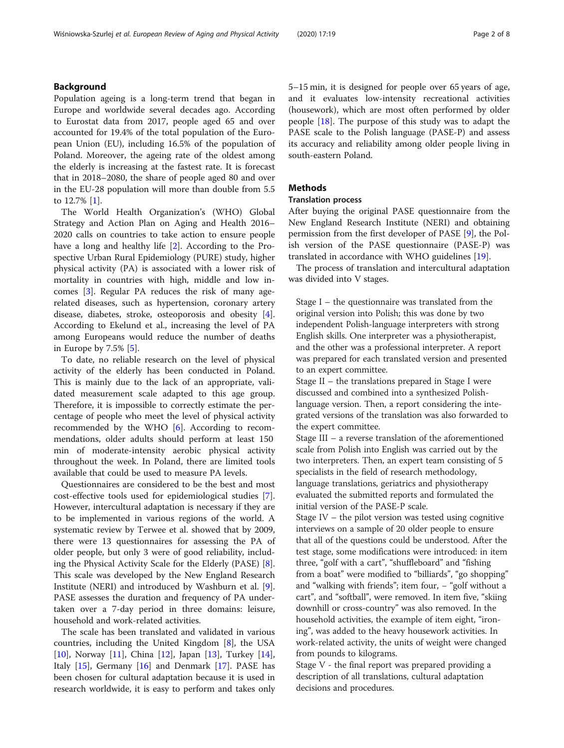# Background

Population ageing is a long-term trend that began in Europe and worldwide several decades ago. According to Eurostat data from 2017, people aged 65 and over accounted for 19.4% of the total population of the European Union (EU), including 16.5% of the population of Poland. Moreover, the ageing rate of the oldest among the elderly is increasing at the fastest rate. It is forecast that in 2018–2080, the share of people aged 80 and over in the EU-28 population will more than double from 5.5 to 12.7% [[1\]](#page-6-0).

The World Health Organization's (WHO) Global Strategy and Action Plan on Aging and Health 2016– 2020 calls on countries to take action to ensure people have a long and healthy life [\[2](#page-6-0)]. According to the Prospective Urban Rural Epidemiology (PURE) study, higher physical activity (PA) is associated with a lower risk of mortality in countries with high, middle and low incomes [[3\]](#page-6-0). Regular PA reduces the risk of many agerelated diseases, such as hypertension, coronary artery disease, diabetes, stroke, osteoporosis and obesity [\[4](#page-6-0)]. According to Ekelund et al., increasing the level of PA among Europeans would reduce the number of deaths in Europe by 7.5% [\[5](#page-6-0)].

To date, no reliable research on the level of physical activity of the elderly has been conducted in Poland. This is mainly due to the lack of an appropriate, validated measurement scale adapted to this age group. Therefore, it is impossible to correctly estimate the percentage of people who meet the level of physical activity recommended by the WHO [[6](#page-6-0)]. According to recommendations, older adults should perform at least 150 min of moderate-intensity aerobic physical activity throughout the week. In Poland, there are limited tools available that could be used to measure PA levels.

Questionnaires are considered to be the best and most cost-effective tools used for epidemiological studies [\[7](#page-6-0)]. However, intercultural adaptation is necessary if they are to be implemented in various regions of the world. A systematic review by Terwee et al. showed that by 2009, there were 13 questionnaires for assessing the PA of older people, but only 3 were of good reliability, including the Physical Activity Scale for the Elderly (PASE) [\[8](#page-6-0)]. This scale was developed by the New England Research Institute (NERI) and introduced by Washburn et al. [\[9](#page-7-0)]. PASE assesses the duration and frequency of PA undertaken over a 7-day period in three domains: leisure, household and work-related activities.

The scale has been translated and validated in various countries, including the United Kingdom [\[8](#page-6-0)], the USA [[10\]](#page-7-0), Norway [[11](#page-7-0)], China [[12\]](#page-7-0), Japan [\[13](#page-7-0)], Turkey [\[14](#page-7-0)], Italy [\[15\]](#page-7-0), Germany [\[16\]](#page-7-0) and Denmark [[17\]](#page-7-0). PASE has been chosen for cultural adaptation because it is used in research worldwide, it is easy to perform and takes only 5–15 min, it is designed for people over 65 years of age, and it evaluates low-intensity recreational activities (housework), which are most often performed by older people [\[18](#page-7-0)]. The purpose of this study was to adapt the PASE scale to the Polish language (PASE-P) and assess its accuracy and reliability among older people living in south-eastern Poland.

# **Methods**

# Translation process

After buying the original PASE questionnaire from the New England Research Institute (NERI) and obtaining permission from the first developer of PASE [[9\]](#page-7-0), the Polish version of the PASE questionnaire (PASE-P) was translated in accordance with WHO guidelines [\[19](#page-7-0)].

The process of translation and intercultural adaptation was divided into V stages.

Stage I – the questionnaire was translated from the original version into Polish; this was done by two independent Polish-language interpreters with strong English skills. One interpreter was a physiotherapist, and the other was a professional interpreter. A report was prepared for each translated version and presented to an expert committee.

Stage II – the translations prepared in Stage I were discussed and combined into a synthesized Polishlanguage version. Then, a report considering the integrated versions of the translation was also forwarded to the expert committee.

Stage III – a reverse translation of the aforementioned scale from Polish into English was carried out by the two interpreters. Then, an expert team consisting of 5 specialists in the field of research methodology, language translations, geriatrics and physiotherapy evaluated the submitted reports and formulated the initial version of the PASE-P scale.

Stage IV – the pilot version was tested using cognitive interviews on a sample of 20 older people to ensure that all of the questions could be understood. After the test stage, some modifications were introduced: in item three, "golf with a cart", "shuffleboard" and "fishing from a boat" were modified to "billiards", "go shopping" and "walking with friends"; item four, − "golf without a cart", and "softball", were removed. In item five, "skiing downhill or cross-country" was also removed. In the household activities, the example of item eight, "ironing", was added to the heavy housework activities. In work-related activity, the units of weight were changed from pounds to kilograms.

Stage V - the final report was prepared providing a description of all translations, cultural adaptation decisions and procedures.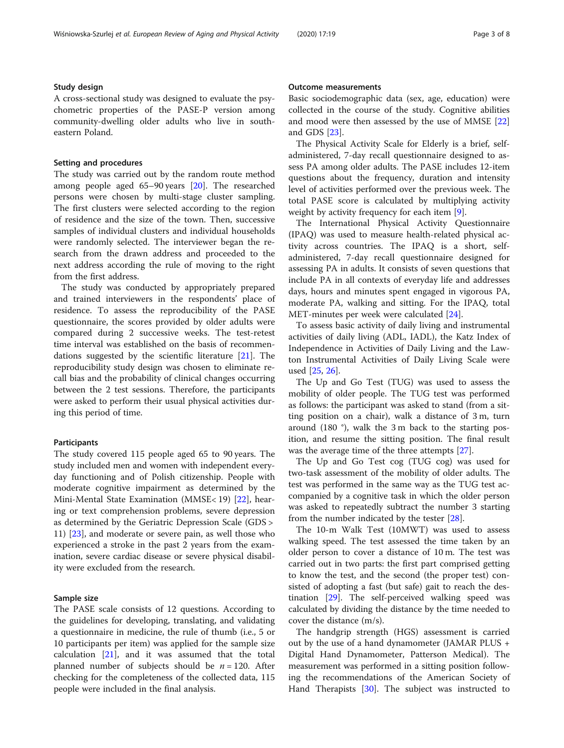# Study design

A cross-sectional study was designed to evaluate the psychometric properties of the PASE-P version among community-dwelling older adults who live in southeastern Poland.

# Setting and procedures

The study was carried out by the random route method among people aged 65–90 years [\[20\]](#page-7-0). The researched persons were chosen by multi-stage cluster sampling. The first clusters were selected according to the region of residence and the size of the town. Then, successive samples of individual clusters and individual households were randomly selected. The interviewer began the research from the drawn address and proceeded to the next address according the rule of moving to the right from the first address.

The study was conducted by appropriately prepared and trained interviewers in the respondents' place of residence. To assess the reproducibility of the PASE questionnaire, the scores provided by older adults were compared during 2 successive weeks. The test-retest time interval was established on the basis of recommendations suggested by the scientific literature [\[21](#page-7-0)]. The reproducibility study design was chosen to eliminate recall bias and the probability of clinical changes occurring between the 2 test sessions. Therefore, the participants were asked to perform their usual physical activities during this period of time.

# Participants

The study covered 115 people aged 65 to 90 years. The study included men and women with independent everyday functioning and of Polish citizenship. People with moderate cognitive impairment as determined by the Mini-Mental State Examination (MMSE< 19) [\[22](#page-7-0)], hearing or text comprehension problems, severe depression as determined by the Geriatric Depression Scale (GDS > 11) [\[23\]](#page-7-0), and moderate or severe pain, as well those who experienced a stroke in the past 2 years from the examination, severe cardiac disease or severe physical disability were excluded from the research.

# Sample size

The PASE scale consists of 12 questions. According to the guidelines for developing, translating, and validating a questionnaire in medicine, the rule of thumb (i.e., 5 or 10 participants per item) was applied for the sample size calculation  $[21]$  $[21]$ , and it was assumed that the total planned number of subjects should be  $n = 120$ . After checking for the completeness of the collected data, 115 people were included in the final analysis.

# Outcome measurements

Basic sociodemographic data (sex, age, education) were collected in the course of the study. Cognitive abilities and mood were then assessed by the use of MMSE [[22](#page-7-0)] and GDS [\[23](#page-7-0)].

The Physical Activity Scale for Elderly is a brief, selfadministered, 7-day recall questionnaire designed to assess PA among older adults. The PASE includes 12-item questions about the frequency, duration and intensity level of activities performed over the previous week. The total PASE score is calculated by multiplying activity weight by activity frequency for each item [[9\]](#page-7-0).

The International Physical Activity Questionnaire (IPAQ) was used to measure health-related physical activity across countries. The IPAQ is a short, selfadministered, 7-day recall questionnaire designed for assessing PA in adults. It consists of seven questions that include PA in all contexts of everyday life and addresses days, hours and minutes spent engaged in vigorous PA, moderate PA, walking and sitting. For the IPAQ, total MET-minutes per week were calculated [\[24\]](#page-7-0).

To assess basic activity of daily living and instrumental activities of daily living (ADL, IADL), the Katz Index of Independence in Activities of Daily Living and the Lawton Instrumental Activities of Daily Living Scale were used [[25](#page-7-0), [26](#page-7-0)].

The Up and Go Test (TUG) was used to assess the mobility of older people. The TUG test was performed as follows: the participant was asked to stand (from a sitting position on a chair), walk a distance of 3 m, turn around (180 °), walk the 3 m back to the starting position, and resume the sitting position. The final result was the average time of the three attempts [\[27](#page-7-0)].

The Up and Go Test cog (TUG cog) was used for two-task assessment of the mobility of older adults. The test was performed in the same way as the TUG test accompanied by a cognitive task in which the older person was asked to repeatedly subtract the number 3 starting from the number indicated by the tester [[28](#page-7-0)].

The 10-m Walk Test (10MWT) was used to assess walking speed. The test assessed the time taken by an older person to cover a distance of 10 m. The test was carried out in two parts: the first part comprised getting to know the test, and the second (the proper test) consisted of adopting a fast (but safe) gait to reach the destination [[29\]](#page-7-0). The self-perceived walking speed was calculated by dividing the distance by the time needed to cover the distance (m/s).

The handgrip strength (HGS) assessment is carried out by the use of a hand dynamometer (JAMAR PLUS + Digital Hand Dynamometer, Patterson Medical). The measurement was performed in a sitting position following the recommendations of the American Society of Hand Therapists [[30\]](#page-7-0). The subject was instructed to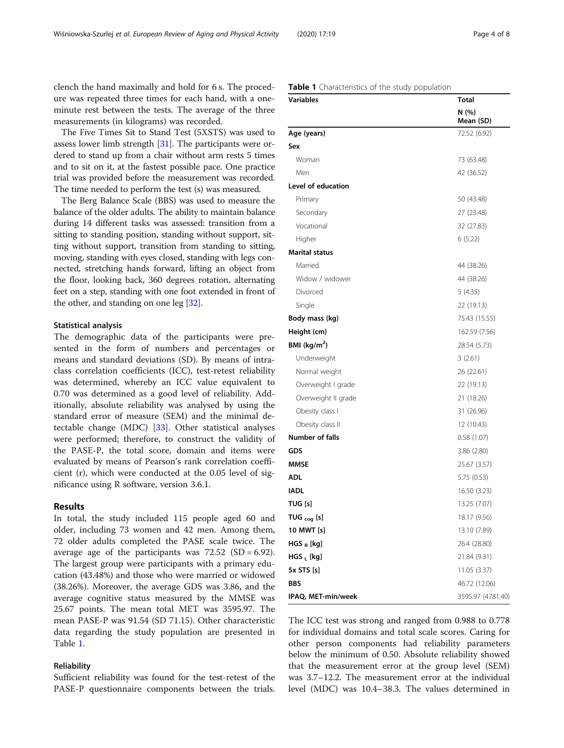clench the hand maximally and hold for 6 s. The procedure was repeated three times for each hand, with a oneminute rest between the tests. The average of the three measurements (in kilograms) was recorded.

The Five Times Sit to Stand Test (5XSTS) was used to assess lower limb strength [\[31\]](#page-7-0). The participants were ordered to stand up from a chair without arm rests 5 times and to sit on it, at the fastest possible pace. One practice trial was provided before the measurement was recorded. The time needed to perform the test (s) was measured.

The Berg Balance Scale (BBS) was used to measure the balance of the older adults. The ability to maintain balance during 14 different tasks was assessed: transition from a sitting to standing position, standing without support, sitting without support, transition from standing to sitting, moving, standing with eyes closed, standing with legs connected, stretching hands forward, lifting an object from the floor, looking back, 360 degrees rotation, alternating feet on a step, standing with one foot extended in front of the other, and standing on one leg [\[32\]](#page-7-0).

# Statistical analysis

The demographic data of the participants were presented in the form of numbers and percentages or means and standard deviations (SD). By means of intraclass correlation coefficients (ICC), test-retest reliability was determined, whereby an ICC value equivalent to 0.70 was determined as a good level of reliability. Additionally, absolute reliability was analysed by using the standard error of measure (SEM) and the minimal detectable change (MDC) [[33\]](#page-7-0). Other statistical analyses were performed; therefore, to construct the validity of the PASE-P, the total score, domain and items were evaluated by means of Pearson's rank correlation coefficient (r), which were conducted at the 0.05 level of significance using R software, version 3.6.1.

# Results

In total, the study included 115 people aged 60 and older, including 73 women and 42 men. Among them, 72 older adults completed the PASE scale twice. The average age of the participants was  $72.52$  (SD = 6.92). The largest group were participants with a primary education (43.48%) and those who were married or widowed (38.26%). Moreover, the average GDS was 3.86, and the average cognitive status measured by the MMSE was 25.67 points. The mean total MET was 3595.97. The mean PASE-P was 91.54 (SD 71.15). Other characteristic data regarding the study population are presented in Table 1.

# Reliability

Sufficient reliability was found for the test-retest of the PASE-P questionnaire components between the trials.

| <b>Variables</b>          | Total              |
|---------------------------|--------------------|
|                           | N (%)<br>Mean (SD) |
| Age (years)               | 72.52 (6.92)       |
| Sex                       |                    |
| Woman                     | 73 (63.48)         |
| Men                       | 42 (36.52)         |
| <b>Level of education</b> |                    |
| Primary                   | 50 (43.48)         |
| Secondary                 | 27 (23.48)         |
| Vocational                | 32 (27.83)         |
| Higher                    | 6(5.22)            |
| <b>Marital status</b>     |                    |
| Married                   | 44 (38.26)         |
| Widow / widower           | 44 (38.26)         |
| Divorced                  | 5(4.35)            |
| Single                    | 22 (19.13)         |
| Body mass (kg)            | 75.43 (15.55)      |
| Height (cm)               | 162.59 (7.56)      |
| BMI ( $kg/m2$ )           | 28.54 (5.73)       |
| Underweight               | 3(2.61)            |
| Normal weight             | 26 (22.61)         |
| Overweight I grade        | 22 (19.13)         |
| Overweight II grade       | 21 (18.26)         |
| Obesity class I           | 31 (26.96)         |
| Obesity class II          | 12 (10.43)         |
| Number of falls           | 0.58(1.07)         |
| GDS                       | 3.86 (2.80)        |
| <b>MMSE</b>               | 25.67 (3.57)       |
| ADL                       | 5.75 (0.53)        |
| <b>IADL</b>               | 16.50 (3.23)       |
| TUG [s]                   | 13.25 (7.07)       |
| TUG <sub>cog</sub> [s]    | 18.17 (9.56)       |
| 10 MWT [s]                | 13.10 (7.89)       |
| HGS $_R$ [kg]             | 26.4 (28.80)       |
| $HGSL$ [kg]               | 21.84 (9.31)       |
| 5x STS [s]                | 11.05 (3.37)       |
| BBS                       | 46.72 (12.06)      |
| IPAQ, MET-min/week        | 3595.97 (4781.40)  |

Table 1 Characteristics of the study population

The ICC test was strong and ranged from 0.988 to 0.778 for individual domains and total scale scores. Caring for other person components had reliability parameters below the minimum of 0.50. Absolute reliability showed that the measurement error at the group level (SEM) was 3.7–12.2. The measurement error at the individual level (MDC) was 10.4–38.3. The values determined in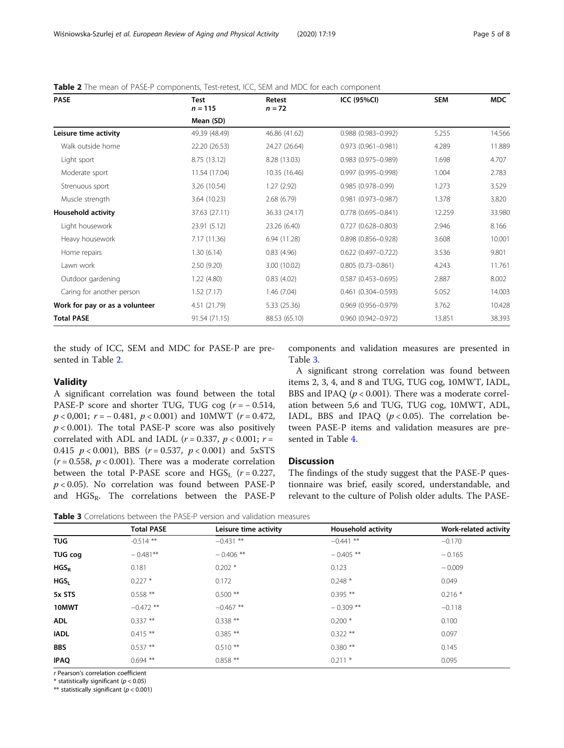| <b>PASE</b>                    | <b>Test</b><br>$n = 115$ | Retest<br>$n = 72$ | <b>ICC (95%CI)</b>     | <b>SEM</b> | <b>MDC</b> |  |  |
|--------------------------------|--------------------------|--------------------|------------------------|------------|------------|--|--|
|                                | Mean (SD)                |                    |                        |            |            |  |  |
| Leisure time activity          | 49.39 (48.49)            | 46.86 (41.62)      | $0.988(0.983 - 0.992)$ | 5.255      | 14.566     |  |  |
| Walk outside home              | 22.20 (26.53)            | 24.27 (26.64)      | $0.973(0.961 - 0.981)$ | 4.289      | 11.889     |  |  |
| Light sport                    | 8.75 (13.12)             | 8.28 (13.03)       | $0.983$ (0.975-0.989)  | 1.698      | 4.707      |  |  |
| Moderate sport                 | 11.54 (17.04)            | 10.35 (16.46)      | $0.997(0.995 - 0.998)$ | 1.004      | 2.783      |  |  |
| Strenuous sport                | 3.26 (10.54)             | 1.27(2.92)         | $0.985(0.978 - 0.99)$  | 1.273      | 3.529      |  |  |
| Muscle strength                | 3.64(10.23)              | 2.68(6.79)         | $0.981(0.973 - 0.987)$ | 1.378      | 3.820      |  |  |
| <b>Household activity</b>      | 37.63 (27.11)            | 36.33 (24.17)      | $0.778(0.695 - 0.841)$ | 12.259     | 33.980     |  |  |
| Light housework                | 23.91 (5.12)             | 23.26 (6.40)       | $0.727(0.628 - 0.803)$ | 2.946      | 8.166      |  |  |
| Heavy housework                | 7.17 (11.36)             | 6.94 (11.28)       | $0.898(0.856 - 0.928)$ | 3.608      | 10.001     |  |  |
| Home repairs                   | 1.30(6.14)               | 0.83(4.96)         | $0.622$ (0.497-0.722)  | 3.536      | 9.801      |  |  |
| Lawn work                      | 2.50(9.20)               | 3.00 (10.02)       | $0.805(0.73 - 0.861)$  | 4.243      | 11.761     |  |  |
| Outdoor gardening              | 1.22(4.80)               | 0.83(4.02)         | $0.587(0.453 - 0.695)$ |            | 8.002      |  |  |
| Caring for another person      | 1.52(7.17)               | 1.46(7.04)         | $0.461(0.304 - 0.593)$ | 5.052      | 14.003     |  |  |
| Work for pay or as a volunteer | 4.51 (21.79)             | 5.33 (25.36)       | $0.969(0.956 - 0.979)$ | 3.762      | 10.428     |  |  |
| <b>Total PASE</b>              | 91.54 (71.15)            | 88.53 (65.10)      | $0.960(0.942 - 0.972)$ | 13.851     | 38.393     |  |  |

Table 2 The mean of PASE-P components, Test-retest, ICC, SEM and MDC for each component

the study of ICC, SEM and MDC for PASE-P are presented in Table 2.

# Validity

A significant correlation was found between the total PASE-P score and shorter TUG, TUG cog  $(r = -0.514,$  $p < 0.001$ ;  $r = -0.481$ ,  $p < 0.001$ ) and 10MWT ( $r = 0.472$ ),  $p < 0.001$ ). The total PASE-P score was also positively correlated with ADL and IADL ( $r = 0.337$ ,  $p < 0.001$ ;  $r =$ 0.415  $p < 0.001$ ), BBS ( $r = 0.537$ ,  $p < 0.001$ ) and  $5xSTS$  $(r = 0.558, p < 0.001)$ . There was a moderate correlation between the total P-PASE score and  $HGS_L$  ( $r = 0.227$ ,  $p < 0.05$ ). No correlation was found between PASE-P and  $HGS<sub>R</sub>$ . The correlations between the PASE-P

components and validation measures are presented in Table 3.

A significant strong correlation was found between items 2, 3, 4, and 8 and TUG, TUG cog, 10MWT, IADL, BBS and IPAO ( $p < 0.001$ ). There was a moderate correlation between 5,6 and TUG, TUG cog, 10MWT, ADL, IADL, BBS and IPAQ  $(p < 0.05)$ . The correlation between PASE-P items and validation measures are presented in Table [4.](#page-5-0)

# **Discussion**

The findings of the study suggest that the PASE-P questionnaire was brief, easily scored, understandable, and relevant to the culture of Polish older adults. The PASE-

Table 3 Correlations between the PASE-P version and validation measures

|                  | <b>Total PASE</b>          | Leisure time activity | <b>Household activity</b> | Work-related activity |  |
|------------------|----------------------------|-----------------------|---------------------------|-----------------------|--|
| <b>TUG</b>       | $-0.514$ **<br>$-0.431$ ** |                       | $-0.441$ **               | $-0.170$              |  |
| <b>TUG cog</b>   | $-0.481**$                 | $-0.406$ **           | $-0.405$ **               | $-0.165$              |  |
| $HGS_R$          | 0.181                      | $0.202*$              | 0.123                     | $-0.009$              |  |
| HGS <sub>L</sub> | $0.227*$                   | 0.172                 | $0.248*$                  | 0.049                 |  |
| 5x STS           | $0.558$ **                 | $0.500$ **            | $0.395$ **                | $0.216*$              |  |
| 10MWT            | $-0.472$ **                | $-0.467$ **           | $-0.309$ **               | $-0.118$              |  |
| <b>ADL</b>       | $0.337**$                  | $0.338$ **            | $0.200*$                  | 0.100                 |  |
| <b>IADL</b>      | $0.415$ **                 | $0.385$ **            | $0.322$ **                | 0.097                 |  |
| <b>BBS</b>       | $0.537$ **                 | $0.510**$             | $0.380**$                 | 0.145                 |  |
| <b>IPAQ</b>      | $0.694$ **                 | $0.858$ **            | $0.211$ *                 | 0.095                 |  |

r Pearson's correlation coefficient

 $*$  statistically significant ( $p < 0.05$ )

 $\rm ^{\ast\ast}$  statistically significant ( $p<0.001)$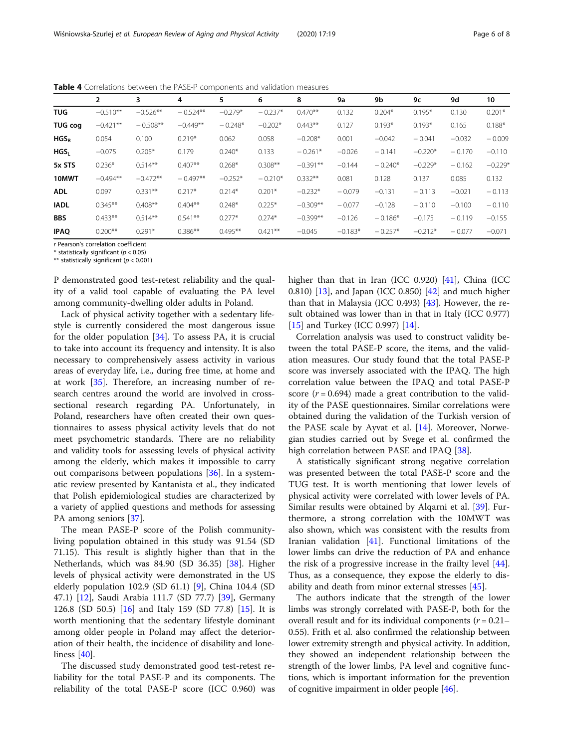<span id="page-5-0"></span>Wiśniowska-Szurlej et al. European Review of Aging and Physical Activity (2020) 17:19 Page 6 of 8

|                  | 2          | 3          | 4          | 5          | 6         | 8          | <b>9a</b> | 9b        | 9с        | 9d       | 10        |
|------------------|------------|------------|------------|------------|-----------|------------|-----------|-----------|-----------|----------|-----------|
| <b>TUG</b>       | $-0.510**$ | $-0.526**$ | $-0.524**$ | $-0.279*$  | $-0.237*$ | $0.470**$  | 0.132     | $0.204*$  | $0.195*$  | 0.130    | $0.201*$  |
| <b>TUG cog</b>   | $-0.421**$ | $-0.508**$ | $-0.449**$ | $-0.248*$  | $-0.202*$ | $0.443**$  | 0.127     | $0.193*$  | $0.193*$  | 0.165    | $0.188*$  |
| $HGS_R$          | 0.054      | 0.100      | $0.219*$   | 0.062      | 0.058     | $-0.208*$  | 0.001     | $-0.042$  | $-0.041$  | $-0.032$ | $-0.009$  |
| HGS <sub>L</sub> | $-0.075$   | $0.205*$   | 0.179      | $0.240*$   | 0.133     | $-0.261*$  | $-0.026$  | $-0.141$  | $-0.220*$ | $-0.170$ | $-0.110$  |
| 5x STS           | $0.236*$   | $0.514**$  | $0.407**$  | $0.268*$   | $0.308**$ | $-0.391**$ | $-0.144$  | $-0.240*$ | $-0.229*$ | $-0.162$ | $-0.229*$ |
| 10MWT            | $-0.494**$ | $-0.472**$ | $-0.497**$ | $-0.252*$  | $-0.210*$ | $0.332**$  | 0.081     | 0.128     | 0.137     | 0.085    | 0.132     |
| <b>ADL</b>       | 0.097      | $0.331**$  | $0.217*$   | $0.214*$   | $0.201*$  | $-0.232*$  | $-0.079$  | $-0.131$  | $-0.113$  | $-0.021$ | $-0.113$  |
| <b>IADL</b>      | $0.345**$  | $0.408**$  | $0.404**$  | $0.248*$   | $0.225*$  | $-0.309**$ | $-0.077$  | $-0.128$  | $-0.110$  | $-0.100$ | $-0.110$  |
| <b>BBS</b>       | $0.433**$  | $0.514***$ | $0.541**$  | $0.277*$   | $0.274*$  | $-0.399**$ | $-0.126$  | $-0.186*$ | $-0.175$  | $-0.119$ | $-0.155$  |
| <b>IPAO</b>      | $0.200**$  | $0.291*$   | $0.386**$  | $0.495***$ | $0.421**$ | $-0.045$   | $-0.183*$ | $-0.257*$ | $-0.212*$ | $-0.077$ | $-0.071$  |

Table 4 Correlations between the PASE-P components and validation measures

r Pearson's correlation coefficient

 $*$  statistically significant ( $p < 0.05$ )

\*\* statistically significant ( $p < 0.001$ )

P demonstrated good test-retest reliability and the quality of a valid tool capable of evaluating the PA level among community-dwelling older adults in Poland.

Lack of physical activity together with a sedentary lifestyle is currently considered the most dangerous issue for the older population [[34\]](#page-7-0). To assess PA, it is crucial to take into account its frequency and intensity. It is also necessary to comprehensively assess activity in various areas of everyday life, i.e., during free time, at home and at work [\[35](#page-7-0)]. Therefore, an increasing number of research centres around the world are involved in crosssectional research regarding PA. Unfortunately, in Poland, researchers have often created their own questionnaires to assess physical activity levels that do not meet psychometric standards. There are no reliability and validity tools for assessing levels of physical activity among the elderly, which makes it impossible to carry out comparisons between populations [[36](#page-7-0)]. In a systematic review presented by Kantanista et al., they indicated that Polish epidemiological studies are characterized by a variety of applied questions and methods for assessing PA among seniors [[37\]](#page-7-0).

The mean PASE-P score of the Polish communityliving population obtained in this study was 91.54 (SD 71.15). This result is slightly higher than that in the Netherlands, which was 84.90 (SD 36.35) [\[38](#page-7-0)]. Higher levels of physical activity were demonstrated in the US elderly population 102.9 (SD 61.1) [\[9](#page-7-0)], China 104.4 (SD 47.1) [[12\]](#page-7-0), Saudi Arabia 111.7 (SD 77.7) [[39](#page-7-0)], Germany 126.8 (SD 50.5) [[16\]](#page-7-0) and Italy 159 (SD 77.8) [\[15\]](#page-7-0). It is worth mentioning that the sedentary lifestyle dominant among older people in Poland may affect the deterioration of their health, the incidence of disability and loneliness [\[40](#page-7-0)].

The discussed study demonstrated good test-retest reliability for the total PASE-P and its components. The reliability of the total PASE-P score (ICC 0.960) was higher than that in Iran (ICC 0.920) [\[41\]](#page-7-0), China (ICC 0.810) [[13\]](#page-7-0), and Japan (ICC 0.850) [\[42\]](#page-7-0) and much higher than that in Malaysia (ICC 0.493)  $[43]$  $[43]$ . However, the result obtained was lower than in that in Italy (ICC 0.977) [[15\]](#page-7-0) and Turkey (ICC 0.997) [[14\]](#page-7-0).

Correlation analysis was used to construct validity between the total PASE-P score, the items, and the validation measures. Our study found that the total PASE-P score was inversely associated with the IPAQ. The high correlation value between the IPAQ and total PASE-P score  $(r = 0.694)$  made a great contribution to the validity of the PASE questionnaires. Similar correlations were obtained during the validation of the Turkish version of the PASE scale by Ayvat et al. [[14\]](#page-7-0). Moreover, Norwegian studies carried out by Svege et al. confirmed the high correlation between PASE and IPAQ [\[38\]](#page-7-0).

A statistically significant strong negative correlation was presented between the total PASE-P score and the TUG test. It is worth mentioning that lower levels of physical activity were correlated with lower levels of PA. Similar results were obtained by Alqarni et al. [\[39](#page-7-0)]. Furthermore, a strong correlation with the 10MWT was also shown, which was consistent with the results from Iranian validation [[41\]](#page-7-0). Functional limitations of the lower limbs can drive the reduction of PA and enhance the risk of a progressive increase in the frailty level [\[44](#page-7-0)]. Thus, as a consequence, they expose the elderly to disability and death from minor external stresses [\[45\]](#page-7-0).

The authors indicate that the strength of the lower limbs was strongly correlated with PASE-P, both for the overall result and for its individual components  $(r = 0.21 -$ 0.55). Frith et al. also confirmed the relationship between lower extremity strength and physical activity. In addition, they showed an independent relationship between the strength of the lower limbs, PA level and cognitive functions, which is important information for the prevention of cognitive impairment in older people [\[46\]](#page-7-0).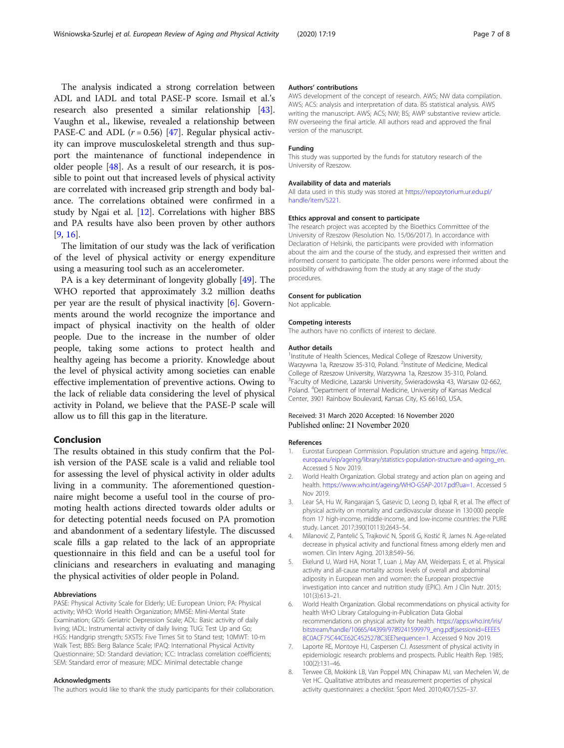<span id="page-6-0"></span>The analysis indicated a strong correlation between ADL and IADL and total PASE-P score. Ismail et al.'s research also presented a similar relationship [\[43](#page-7-0)]. Vaughn et al., likewise, revealed a relationship between PASE-C and ADL  $(r = 0.56)$  [\[47](#page-7-0)]. Regular physical activity can improve musculoskeletal strength and thus support the maintenance of functional independence in older people [\[48](#page-7-0)]. As a result of our research, it is possible to point out that increased levels of physical activity are correlated with increased grip strength and body balance. The correlations obtained were confirmed in a study by Ngai et al. [[12\]](#page-7-0). Correlations with higher BBS and PA results have also been proven by other authors [[9,](#page-7-0) [16\]](#page-7-0).

The limitation of our study was the lack of verification of the level of physical activity or energy expenditure using a measuring tool such as an accelerometer.

PA is a key determinant of longevity globally [\[49\]](#page-7-0). The WHO reported that approximately 3.2 million deaths per year are the result of physical inactivity [6]. Governments around the world recognize the importance and impact of physical inactivity on the health of older people. Due to the increase in the number of older people, taking some actions to protect health and healthy ageing has become a priority. Knowledge about the level of physical activity among societies can enable effective implementation of preventive actions. Owing to the lack of reliable data considering the level of physical activity in Poland, we believe that the PASE-P scale will allow us to fill this gap in the literature.

# Conclusion

The results obtained in this study confirm that the Polish version of the PASE scale is a valid and reliable tool for assessing the level of physical activity in older adults living in a community. The aforementioned questionnaire might become a useful tool in the course of promoting health actions directed towards older adults or for detecting potential needs focused on PA promotion and abandonment of a sedentary lifestyle. The discussed scale fills a gap related to the lack of an appropriate questionnaire in this field and can be a useful tool for clinicians and researchers in evaluating and managing the physical activities of older people in Poland.

#### Abbreviations

PASE: Physical Activity Scale for Elderly; UE: European Union; PA: Physical activity; WHO: World Health Organization; MMSE: Mini-Mental State Examination; GDS: Geriatric Depression Scale; ADL: Basic activity of daily living; IADL: Instrumental activity of daily living; TUG: Test Up and Go; HGS: Handgrip strength; 5XSTS: Five Times Sit to Stand test; 10MWT: 10-m Walk Test; BBS: Berg Balance Scale; IPAQ: International Physical Activity Questionnaire; SD: Standard deviation; ICC: Intraclass correlation coefficients; SEM: Standard error of measure; MDC: Minimal detectable change

# Acknowledgments

The authors would like to thank the study participants for their collaboration.

#### Authors' contributions

AWS development of the concept of research. AWS; NW data compilation. AWS; ACS: analysis and interpretation of data. BS statistical analysis. AWS writing the manuscript. AWS; ACS; NW; BS; AWP substantive review article. RW overseeing the final article. All authors read and approved the final version of the manuscript.

### Funding

This study was supported by the funds for statutory research of the University of Rzeszow.

#### Availability of data and materials

All data used in this study was stored at [https://repozytorium.ur.edu.pl/](https://repozytorium.ur.edu.pl/handle/item/5221) [handle/item/5221](https://repozytorium.ur.edu.pl/handle/item/5221).

#### Ethics approval and consent to participate

The research project was accepted by the Bioethics Committee of the University of Rzeszow (Resolution No. 15/06/2017). In accordance with Declaration of Helsinki, the participants were provided with information about the aim and the course of the study, and expressed their written and informed consent to participate. The older persons were informed about the possibility of withdrawing from the study at any stage of the study procedures.

#### Consent for publication

Not applicable.

#### Competing interests

The authors have no conflicts of interest to declare.

#### Author details

<sup>1</sup>Institute of Health Sciences, Medical College of Rzeszow University, Warzywna 1a, Rzeszow 35-310, Poland. <sup>2</sup>Institute of Medicine, Medical College of Rzeszow University, Warzywna 1a, Rzeszow 35-310, Poland. <sup>3</sup> Faculty of Medicine, Lazarski University, Świeradowska 43, Warsaw 02-662 Poland. <sup>4</sup> Department of Internal Medicine, University of Kansas Medical Center, 3901 Rainbow Boulevard, Kansas City, KS 66160, USA.

#### Received: 31 March 2020 Accepted: 16 November 2020 Published online: 21 November 2020

#### References

- 1. Eurostat European Commission. Population structure and ageing. [https://ec.](https://ec.europa.eu/eip/ageing/library/statistics-population-structure-and-ageing_en) [europa.eu/eip/ageing/library/statistics-population-structure-and-ageing\\_en.](https://ec.europa.eu/eip/ageing/library/statistics-population-structure-and-ageing_en) Accessed 5 Nov 2019.
- 2. World Health Organization. Global strategy and action plan on ageing and health. [https://www.who.int/ageing/WHO-GSAP-2017.pdf?ua=1.](https://www.who.int/ageing/WHO-GSAP-2017.pdf?ua=1) Accessed 5 Nov 2019.
- 3. Lear SA, Hu W, Rangarajan S, Gasevic D, Leong D, Iqbal R, et al. The effect of physical activity on mortality and cardiovascular disease in 130 000 people from 17 high-income, middle-income, and low-income countries: the PURE study. Lancet. 2017;390(10113):2643–54.
- 4. Milanović Z, Pantelić S, Trajković N, Sporiš G, Kostić R, James N. Age-related decrease in physical activity and functional fitness among elderly men and women. Clin Interv Aging. 2013;8:549–56.
- 5. Ekelund U, Ward HA, Norat T, Luan J, May AM, Weiderpass E, et al. Physical activity and all-cause mortality across levels of overall and abdominal adiposity in European men and women: the European prospective investigation into cancer and nutrition study (EPIC). Am J Clin Nutr. 2015; 101(3):613–21.
- 6. World Health Organization. Global recommendations on physical activity for health WHO Library Cataloguing-in-Publication Data Global recommendations on physical activity for health. [https://apps.who.int/iris/](https://apps.who.int/iris/bitstream/handle/10665/44399/9789241599979_eng.pdf;jsessionid=EEEE58C0ACF75C44CE62C4525278C3EE?sequence=1) [bitstream/handle/10665/44399/9789241599979\\_eng.pdf;jsessionid=EEEE5](https://apps.who.int/iris/bitstream/handle/10665/44399/9789241599979_eng.pdf;jsessionid=EEEE58C0ACF75C44CE62C4525278C3EE?sequence=1) [8C0ACF75C44CE62C4525278C3EE?sequence=1](https://apps.who.int/iris/bitstream/handle/10665/44399/9789241599979_eng.pdf;jsessionid=EEEE58C0ACF75C44CE62C4525278C3EE?sequence=1). Accessed 9 Nov 2019.
- 7. Laporte RE, Montoye HJ, Caspersen CJ. Assessment of physical activity in epidemiologic research: problems and prospects. Public Health Rep. 1985; 100(2):131–46.
- 8. Terwee CB, Mokkink LB, Van Poppel MN, Chinapaw MJ, van Mechelen W, de Vet HC. Qualitative attributes and measurement properties of physical activity questionnaires: a checklist. Sport Med. 2010;40(7):525–37.